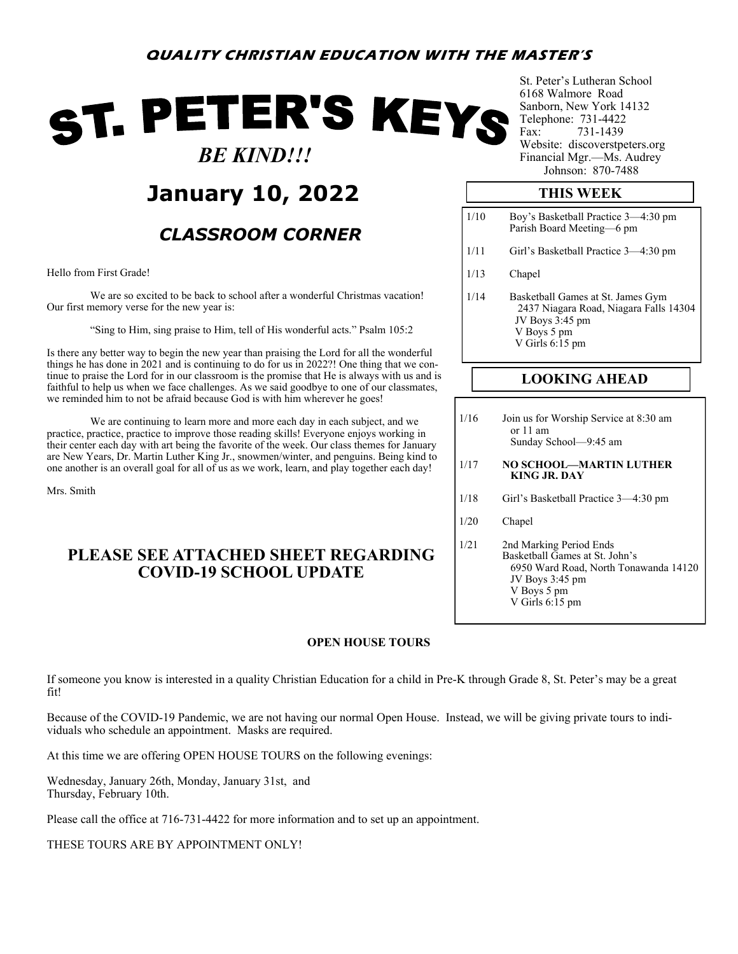# **QUALITY CHRISTIAN EDUCATION WITH THE MASTER'S**

# ST. PETER'S KEYS  *BE KIND!!!*

# **January 10, 2022**

# *CLASSROOM CORNER*

Hello from First Grade!

We are so excited to be back to school after a wonderful Christmas vacation! Our first memory verse for the new year is:

"Sing to Him, sing praise to Him, tell of His wonderful acts." Psalm 105:2

Is there any better way to begin the new year than praising the Lord for all the wonderful things he has done in 2021 and is continuing to do for us in 2022?! One thing that we continue to praise the Lord for in our classroom is the promise that He is always with us and is faithful to help us when we face challenges. As we said goodbye to one of our classmates, we reminded him to not be afraid because God is with him wherever he goes!

We are continuing to learn more and more each day in each subject, and we practice, practice, practice to improve those reading skills! Everyone enjoys working in their center each day with art being the favorite of the week. Our class themes for January are New Years, Dr. Martin Luther King Jr., snowmen/winter, and penguins. Being kind to one another is an overall goal for all of us as we work, learn, and play together each day!

Mrs. Smith

# **PLEASE SEE ATTACHED SHEET REGARDING COVID-19 SCHOOL UPDATE**

### **OPEN HOUSE TOURS**

If someone you know is interested in a quality Christian Education for a child in Pre-K through Grade 8, St. Peter's may be a great fit!

Because of the COVID-19 Pandemic, we are not having our normal Open House. Instead, we will be giving private tours to individuals who schedule an appointment. Masks are required.

At this time we are offering OPEN HOUSE TOURS on the following evenings:

Wednesday, January 26th, Monday, January 31st, and Thursday, February 10th.

Please call the office at 716-731-4422 for more information and to set up an appointment.

THESE TOURS ARE BY APPOINTMENT ONLY!

St. Peter's Lutheran School 6168 Walmore Road Sanborn, New York 14132 Telephone: 731-4422 Fax: 731-1439 Website: discoverstpeters.org Financial Mgr.—Ms. Audrey Johnson: 870-7488

### **THIS WEEK**

| 1/10 | Boy's Basketball Practice 3—4:30 pm<br>Parish Board Meeting—6 pm                                                                   |
|------|------------------------------------------------------------------------------------------------------------------------------------|
| 1/11 | Girl's Basketball Practice 3—4:30 pm                                                                                               |
| 1/13 | Chapel                                                                                                                             |
| 1/14 | Basketball Games at St. James Gym<br>2437 Niagara Road, Niagara Falls 14304<br>JV Boys 3:45 pm<br>V Boys 5 pm<br>V Girls $6:15$ pm |

## **LOOKING AHEAD**

1/16 Join us for Worship Service at 8:30 am or 11 am Sunday School—9:45 am

#### 1/17 **NO SCHOOL—MARTIN LUTHER KING JR. DAY**

- 1/18 Girl's Basketball Practice 3—4:30 pm
- 1/20 Chapel
- 1/21 2nd Marking Period Ends Basketball Games at St. John's 6950 Ward Road, North Tonawanda 14120 JV Boys 3:45 pm V Boys 5 pm V Girls 6:15 pm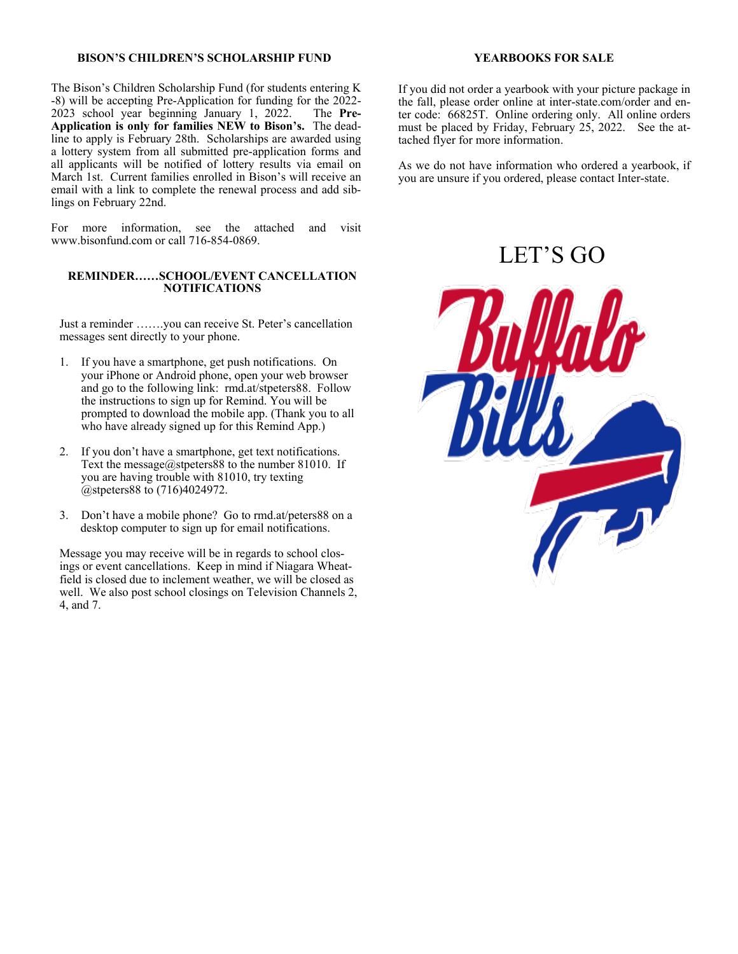#### **BISON'S CHILDREN'S SCHOLARSHIP FUND**

The Bison's Children Scholarship Fund (for students entering K -8) will be accepting Pre-Application for funding for the 2022- 2023 school year beginning January 1, 2022. The **Pre-Application is only for families NEW to Bison's.** The deadline to apply is February 28th. Scholarships are awarded using a lottery system from all submitted pre-application forms and all applicants will be notified of lottery results via email on March 1st. Current families enrolled in Bison's will receive an email with a link to complete the renewal process and add siblings on February 22nd.

For more information, see the attached and visit www.bisonfund.com or call 716-854-0869.

#### **REMINDER……SCHOOL/EVENT CANCELLATION NOTIFICATIONS**

Just a reminder …….you can receive St. Peter's cancellation messages sent directly to your phone.

- 1. If you have a smartphone, get push notifications. On your iPhone or Android phone, open your web browser and go to the following link: rmd.at/stpeters88. Follow the instructions to sign up for Remind. You will be prompted to download the mobile app. (Thank you to all who have already signed up for this Remind App.)
- 2. If you don't have a smartphone, get text notifications. Text the message@stpeters88 to the number 81010. If you are having trouble with 81010, try texting @stpeters88 to (716)4024972.
- 3. Don't have a mobile phone? Go to rmd.at/peters88 on a desktop computer to sign up for email notifications.

Message you may receive will be in regards to school closings or event cancellations. Keep in mind if Niagara Wheatfield is closed due to inclement weather, we will be closed as well. We also post school closings on Television Channels 2, 4, and 7.

#### **YEARBOOKS FOR SALE**

If you did not order a yearbook with your picture package in the fall, please order online at inter-state.com/order and enter code: 66825T. Online ordering only. All online orders must be placed by Friday, February 25, 2022. See the attached flyer for more information.

As we do not have information who ordered a yearbook, if you are unsure if you ordered, please contact Inter-state.

# LET'S GO